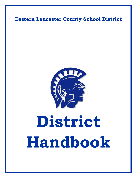# **Eastern Lancaster County School District**



# **District Handbook**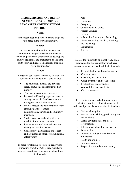# **VISION, MISSION AND BELIEF STATEMENTS OF EASTERN LANCASTER COUNTY SCHOOL DISTRICT**

#### **Vision**

"Inspiring and guiding each student to shape his or her place in the world community."

#### **Mission**

"In partnership with family, business and community, we provide an environment In which all persons are empowered to develop the knowledge, skills, and character to be life-long contributors and leaders in a rapidly changing world community."

#### **Beliefs**

In order for our District to meet its Mission, we believe an environment must exist where:

- The emotional, mental, and physical safety of students and staff is the first priority.
- Teachers are continuous learners.
- Personalized learning experiences occur among students in the classrooms and through extracurricular activities.
- Mutual respect and collaboration occurs among students, teachers, administrators, parents and community members.
- Students are inspired and guided to reach their maximum potential.
- Resources are used in an efficient and fiscally responsible manner.
- Collaborative partnerships are sought and developed to enhance organizational effectiveness.

In order for students to be global-ready upon graduation from the District they must have acquired expertise in core learning disciplines that include:

- Arts
- Economics
- Geography
- Government and Civics
- Foreign Language
- History
- Information Literacy and Technology
- Literacy (Reading, Writing, Speaking, and Listening)
- **Mathematics**
- Science

In order for students to be global-ready upon graduation for the District they must have acquired expertise in specific skills that include:

- Critical-thinking and problem-solving
- **Communication**
- Creativity and innovation
- Group dynamics and collaboration
- Multicultural understanding, compatibility and sensitivity
- Career awareness

In order for students to be life-ready upon graduation from the District, students must understand personal characteristics that include:

- Ethics and integrity
- Personal responsibility, productivity and accountability
- Social, environmental and fiscal responsibility
- Self-initiative, discipline and sacrifice
- Adaptability
- Democratic obligations and servicemindedness
- Health and wellness
- Life-long learning
- Respect for self, others and country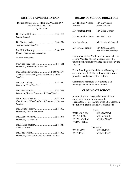# **DISTRICT ADMINISTRATION**

District Office, 669 E. Main St., P.O. Box 609, New Holland, PA 17557 (717) 354-1500

| Superintendent                                                                                          |
|---------------------------------------------------------------------------------------------------------|
| Dr. Nadine Larkin 354-1514<br><b>Assistant Superintendent</b>                                           |
| Mr. Keith Ramsey354-1507<br>Chief of Finance and Operations                                             |
| **************                                                                                          |
| Mr. Greg Frederick 354-1518<br>Director of Elementary Instruction                                       |
| Ms. Dianne D'Souza354-1500 x1044<br>Assistant Director of Special Education & Gifted<br><b>Services</b> |
| Director of Food Services                                                                               |
| Director of Special Education & Gifted Services                                                         |
| Mr. Curt McCaskey 354-1556<br>Coordinator of Non-Traditional Programs & Student<br><b>Services</b>      |
| Ms. Donna Prokay 354-1503<br>Director of Human Resources                                                |
| Mr. Lotsie Wooten354-1548<br>Director of Technology                                                     |
| Mr. Mark Schaffer 354-1557<br><b>Athletic Director</b>                                                  |
|                                                                                                         |

*Director of Transportation/Director of Facilities*

# **BOARD OF SCHOOL DIRECTORS**

| Mr. Thomas Wentzel<br>President | Mr. Gary Buck<br><i>Vice President</i>     |
|---------------------------------|--------------------------------------------|
| Mr. Jonathan Dahl               | Mr. Brian Conroy                           |
| Ms. Jacqueline Geyer            | Mr. Paul Irvin                             |
| Ms. Dina Maio                   | Mr. Kevin McConnell                        |
| Mr. Bryan Naranjo               | Mr. Justin Johnson<br>Non-Member Secretary |

Committee of the Whole Meetings are held the second Monday of each month at 7:00 PM, unless notification is provided in advance by the District.

Board Meetings are held the third Monday of each month at 7:00 PM, unless notification is provided in advance by the District.

Community members are welcome at all meetings and encouraged to attend.

# **CLOSING OF SCHOOL**

In case of school closing due to weather or emergency or other unforeseeable circumstances, information will be broadcast on the following radio and television stations:

|                 | Radio:     |
|-----------------|------------|
| WJTI $-90.3$ FM | WLAN-97FM  |
| WHP-580AM       | WIOV-105FM |
| WDAC-94.5FM     | WSBA-910AM |
| WSBA-103FM      |            |

|          | Television: |
|----------|-------------|
| WGAL-TV8 | WLYH-TV15   |
| WHP-TV21 | WPMT-TV43   |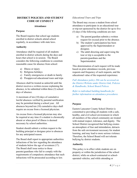# **DISTRICT POLICIES AND STUDENT CODE OF CONDUCT**

#### **Attendance**

#### **Purpose**

The Board requires that school age students enrolled in district schools attend school regularly, in accordance with state laws.

# **Authority**

Attendance shall be required of all students enrolled in district schools during the days and hours that school is in session. The Board considers the following conditions to constitute reasonable cause for absence from school:

- a) Illness or injury
- b) Religious holidays
- c) Family emergencies or death in family
- d) Preapproved educational tours and trips

Absences shall be treated as unlawful until the district receives a written excuse explaining the absence, to be submitted within three (3) school days of absence.

A maximum of ten (10) days of cumulative lawful absences verified by parental notification may be permitted during a school year. All absences beyond ten (10) cumulative days shall require an excuse from a licensed physician.

An excuse from a licensed physician may also be required at any time if a student is chronically absent or when proof of illness is deemed necessary by school authorities.

Student should submit a written request to the building principal or designee prior to absences for any anticipated reason.

The Board shall report to appropriate authorities infractions of the law regarding the attendance of students below the age of seventeen (17). The Board shall issue notice to those parents/guardians who fail to comply with the requirements of compulsory attendance that such infractions will be prosecuted according to law.

# *Educational Tours and Trips*

The Board may excuse a student from school attendance to participate in an educational tour or trip not sponsored by the district for up to five (5) days if the following conditions are met:

- a) The parent/guardian submits a written request for excusal prior to the absence.
- b) The student's participation has been approved by the Superintendent or designee.
- c) The adult directing and supervising the tour or trip is acceptable to the parents/guardians and the Superintendent.

This determination of each request will be made based on prior attendance records, previous requests and frequency of such requests, and the educational value of the requested experience.

*Full Attendance policy 204 can be accessed on the District Website under District link, Policies & Handbooks, School Board Polices.*

*Refer to individual building handbooks for further information on attendance procedures.*

# **Bullying**

# **Purpose**

Eastern Lancaster County School District is committed to providing all students with a safe, healthy, and civil school environment in which all members of the school community are treated with mutual respect, tolerance, and dignity. The School District recognized that bullying creates an atmosphere of fear and intimidation, detracts from the safe environment necessary for student learning, and may lead to more serious violence. Therefore, the School Board will not tolerate bullying by district students.

# **Authority**

This policy is in effect while students are on property or within the jurisdiction of the school district; while on school-contracted or schooloperated vehicles; and while attending or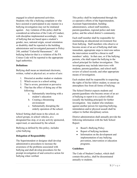engaged in school-sponsored activities. Students who file a bullying complaint or who have assisted or participated in any manner in a bullying investigation may not be retaliated against. Any violation of this policy shall be considered an infraction of the Code of Conduct, with discipline implemented accordingly. Acts of bullying that are based upon a student's gender, race, national origin, sexual orientation or disability shall be reported to the building administrator and investigated pursuant to Policy 248, entitled "Unlawful Harassment." All bullying behavior that is a violation of the PA Crimes Code will be reported to the appropriate legal authorities.

# **Definitions**

Bullying shall mean an intentional electronic, written, verbal or physical act, or series of acts:

- 1. Directed at another student or students
- 2. Which occurs in a school setting
- 3. That is severe, persistent or pervasive
- 4. That has the effect of doing any of the following:
	- a. Substantially interfering with a student's education
	- b. Creating a threatening environment
	- c. Substantially disrupting the orderly operation of the school.

School Setting shall mean in the school, on school groups, in school vehicles, at a designated bus stop, or at any activity sponsored, supervised, or sanctioned by the school.

Bullying as defined by this policy, includes cyber bullying.

# **Delegation of Responsibility**

The Superintendent or designee shall develop administrative procedures to increase the awareness of the problems associated with bullying and shall develop procedures for the prompt investigation of and corrective action for bullying when verified.

This policy shall be implemented through the co-operative efforts of the Superintendent, Assistant Superintendent, building administrators, school staff members, parents/guardians, regional police and state police, and the school district's community.

Each staff member shall be responsible for maintaining an educational environment free from bullying. Staff members who observe or become aware of an act of bullying shall take immediate, appropriate steps to intervene unless the intervention would be a threat to staff members' safety. In that case, or if the bullying persists, s/he shall report the bullying to the school principal for further investigation. This investigation may include interviews with students, parents/guardians, and school staff; review of school records; and other appropriate means of investigation.

Each student shall be responsible in respecting the rights of his/her fellow student, to ensure an atmosphere free from all forms of bullying.

The School District expects students and parents/guardians who become aware of an act of bullying to report it to a school official (usually the building principal) for further investigation. Any student who retaliates against another person for reporting bullying, intimidation and/or physical assault shall be subject to further disciplinary action.

District administration shall annually provide the following information with the Safe School Report:

- Board's Bullying Policy
- Report of bullying incidents
- Information on the development and implementation of any bullying prevention, intervention or education programs.

# **Guidelines**

The Code of Student Conduct, which shall contain this policy, shall be disseminated annually to students.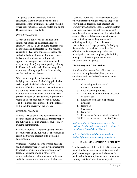This policy shall be accessible in every classroom. The policy shall be posted in a prominent location within each school building, where such notices are usually posted and on the District website, if available.

# *Preventive Measures*

A copy of this policy will be included in the student handbooks and District handbook annually. The K-12 anti-bullying program will be introduced and integrated into the regular curriculum. Teachers, counselors, specialists, and school administrators will routinely discuss bullying with students and will provide appropriate examples to assist students with recognizing, identifying, and reporting bullying incidents. All students shall be encouraged to report any bullying regardless of whether they are the victim or an observer.

When an investigation substantiates that bullying has occurred, the building principal or assistant principal shall inform staff who work with the offending student and the victim about the bullying so that those staff can more closely monitor for future incidents of bullying. The primary purpose of such action is to protect the victim and deter such behavior in the future. The disciplinary action imposed on the offender will match the severity of the offense.

# *Reporting Procedures*

Victims – All students who believe they have been the victim of bullying shall promptly report the bullying incident to a teacher, counselor, or building administrator.

Parents/Guardians – All parents/guardians who become aware of any bullying are encouraged to report the bullying incident(s) to a building administrator.

Witnesses – All students who witness bullying shall immediately report the bullying incident(s) to a teacher, counselor, or administrator. Any teacher, counselor or administrator who witnesses bullying shall immediately intervene and take appropriate action to stop the bullying.

Teachers/Counselors – Any teacher/counselor who witnesses bullying or receives a report of bullying shall document such incident and promptly investigate the matter. Administrators shall seek to discuss the bullying incident(s) with the victim in a place where the victim feels secure. The initial discussion with the victim shall not take place in the presence of the offending student(s). If more than one  $(1)$ student is involved in perpetrating the bullying, the administrator shall talk to each of the offending students separately. After the investigation has been completed, the building principal shall take appropriate actions consistent with this policy.

# **Disciplinary and Other Actions**

A student who violates this policy shall be subject to appropriate disciplinary action consistent with the Code of Student Conduct may include:

- 1. Counseling with the school
- 2. Parental conference
- 3. Loss of school privileges
- 4. Transfer to another building, classroom or school bus
- 5. Exclusion from school-sponsored activities
- 6. Detention
- 7. Suspension
- 8. Expulsion
- 9. Counseling/Therapy outside of school
- 10. Referral to law enforcement officials

*Bullying policy 249 can be accessed on the District Website under District link, Policies & Handbooks, School Board Polices.*

*Refer to individual building handbooks for further information on bullying procedures.*

# **CHILD ABUSE REPORTING POLICY**

The Pennsylvania Child Protective Services Law mandates that all teachers, administrators, and professional support personnel who work for public school districts, independent contractors, attorneys affiliated with the district, and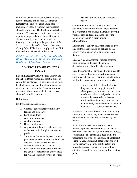volunteers (Mandated Reporter) are required to report suspected child abuse. A Mandated Reporter who suspects child abuse shall immediately make a report of the suspected abuse to ChildLine. The local child protective agency (CYA) is charged with investigating reports of suspected child abuse. Suspected student abuse by a staff member will be investigated according to the provisions of Act 151. It is the policy of the Eastern Lancaster County School District to comply with the CPS Law and Act 151 to their fullest extent.

*Child Abuse policy 806 can be accessed on the District Website under District link, Policies & Handbooks, School Board Polices.*

# **CONTROLLED SUBSTANCES POLICY**

Eastern Lancaster County School District and the School Board recognizes that the abuse of controlled substances is a serious problem with legal, physical and social implications for the whole school community. As an educational institution, the schools shall strive to prevent abuse of controlled substances.

# **Definitions**

Controlled substances include:

- 1. Controlled substances prohibited by federal and state laws
- 2. Look-alike drugs
- 3. Alcoholic beverages
- 4. Anabolic steroids
- 5. Drug paraphernalia
- 6. Any volatile solvents or inhalants, such as, but not limited to glue and aerosol products
- 7. Substances that when ingested cause a physiological effect that is similar to the effect of a controlled substance as defined by federal and state laws
- 8. Prescription or nonprescription (overthe-counter) medications, except those for which permission for use in school

has been granted pursuant to Board policy

Cooperative Behavior – the willingness of a student to work with staff and school personnel in a reasonable and helpful manner, complying with requests and recommendations of the members of the SAP Team and/or administration.

Distributing – deliver, sell, pass, share or give any controlled substance, as defined by this policy, from one person to another or to aid therein.

Drug & Alcohol Assessor – trained assessor with expertise in the area of chemical dependency and school-based assessment.

Drug Paraphernalia – any utensil or item used to carry, conceal, distribute, ingest or package controlled substances. Examples include but are not limited to roach clips, pipes, and bowls.

• For purpose of this policy, look-alike drug shall include any pill, capsule, tablet, power, plant matter or other item or substance that is designed or intended to resemble a controlled substance prohibited by this policy, or is used in a manner likely to induce others to believe the material is a controlled substance.

Possession – possess, hold or bring without any attempt to distribute, any controlled substance determined to be illegal or as defined by this policy.

SAP (Student Assistant Program) Team – multidisciplinary teams composed of school personnel (teachers, staff, administrators, nurses, counselors). The teams have been trained to understand and work on the issues of adolescent chemical use, abuse, and dependency and will play a primary role in the identification and referral process of students coming to their attention through the procedures outlined in this policy.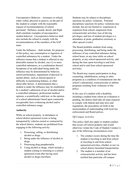Uncooperative Behavior – resistance or refusal, either verbal, physical or passive, on the part of the student to comply with the reasonable request of recommendations of school personnel. Defiance, assault, deceit, and flight shall constitute examples of uncooperative student behavior. Uncooperative behavior shall also include the refusal to comply with the recommendations of the members of the SAP team.

Under the Influence – shall include, for purposes of this policy, any consumption or ingestion of controlled substances by a student. Under the influence means that a student is affected in any detectable manner by alcohol, one (1) or more controlled substances, or a combination thereof. Symptoms of an individual being under the influence may be demonstrated by behavior, school performance, impairment of physical or mental ability, such as slurred speech or difficulty in maintaining balance, or other observable factors. A determination that a student is under the influence may be established by a student's admission of use of alcohol and/or a controlled substance; professional medical opinion; a scientifically-valid test; or the opinion of a school administrator based upon commonly recognizable facts evidencing alcohol and/or controlled substance usage.

#### **Authority**

While on school property, in attendance at school district-sponsored events or being transported by vehicles owned or contracted by the school district, students are prohibited from engaging in the following activity:

- 1. Possessing, selling, or distributing alcohol or drugs.
- 2. Being under the influence of alcohol or drugs.
- 3. Possessing drug paraphernalia.
- 4. Using alcohol or drugs, which include a student coming or returning to a schoolsponsored event after having used alcohol or drugs elsewhere.

Students may be subject to disciplinary sanctions for policy violations. Potential disciplinary sanctions for policy violations may include, but are not limited to: suspension or expulsion from school; suspension from extracurricular activities; loss of driving privileges; and loss of student privileges (i.e. attendance at prom, graduation ceremony or other special events).

The Board prohibits students from using, possessing, distributing, and being under the influence of any controlled substance during school hours, at any time while on school property, at any school-sponsored activity, and during the time spent traveling to and from school and to and from school-sponsored activities.

The Board may require participation in drug counseling, rehabilitation, testing or other programs as a condition of reinstatement into the school's educational, extracurricular or athletic programs resulting from violations of this policy.

In the case of a student with a disability, including a student from whom an evaluation is pending, the district shall take all steps required to comply with federal and state laws and regulations, the procedures set forth in the memorandum of understanding with local law enforcement and Board polices.

# *Off Campus Activities*

This policy shall also apply to student conduct that occurs off school property and would otherwise violate the Code of Student Conduct is any of the following circumstances exist:

- 1. The conduct occurs during the time the student is traveling to and from school or traveling to and from schoolsponsored activities, whether or not via school district furnished transportation.
- 2. The student is a member of an extracurricular activity and has been notified that particular off-campus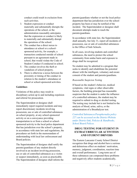conduct could result in exclusion from such activities.

- 3. Student expression or conduct materially and substantially disrupts the operations of the school, or the administration reasonably anticipates that the expression or conduct is likely to materially and substantially disrupt the operations of the school.
- 4. The conduct has a direct nexus to attendance at school or a schoolsponsored activity, for example, a transaction conducted outside of school pursuant to an agreement made in school, that would violate the Code of Student Conduct if conducted in school.
- 5. The conduct involves the theft or vandalism of school property.
- 6. There is otherwise a nexus between the proximity or timing of the conduct in relation to the student's attendance at school or school-sponsored activities.

# **Guidelines**

Violations of this policy may result in disciplinary action up to and including expulsion and referral for prosecution.

The Superintendent or designee shall immediately report required incidents and may report discretionary incidents involving possession, use or sale of controlled substances on school property, at any school-sponsored activity or on a conveyance providing transportation to or from a school or schoolsponsored activity to the local police department that has jurisdiction over the school's property, in accordance with state law and regulations, the procedures set forth in the memorandum of understanding with local law enforcement and Board policies.

The Superintendent of designee shall notify the parents/guardians of any student directly involved in an incident involving possession, use or sale of controlled substances as a victim or suspect immediately, as soon as practicable. The Superintendent of designee shall inform the

parents/guardians whether or not the local police department that has jurisdiction over the school property has been or may be notified of the incident. The Superintendent or designee shall document attempts made to reach the parents/guardians.

In accordance with state law, the Superintendent shall annually, but July 31, report all incidents of possession, use or sale of controlled substances to the Office of Safe Schools.

In all cases, involving students and controlled substances, the need to protect the school community from undue harm and exposure to drugs shall be recognized.

No student may be admitted to a program that seeks to identify and rehabilitate the potential abuser with the intelligent, voluntary and aware consent of the student and parents/guardians.

# *Reasonable Suspicion Testing*

If based on the student's behavior, medical symptoms, vital signs or other observable factors, the building principal has reasonable suspicion that the student is under the influence of a controlled substance, the student may be required to submit to drug or alcohol testing. The testing may include but is not limited to the analysis of blood, urine, saliva, or the administration of a Breathalyzer test.

*Controlled Substances/Paraphernalia policy 227 can be accessed on the District Website under District link, Policies & Handbooks, School Board Polices.*

# **DRUG TESTING FOR STUDENT IN EXTRACURRICULAR ACTIVITEIS AND STUDENT DRIVERS**

The Eastern Lancaster County School District recognizes that drugs and alcohol have a serious and deleterious effect on students' motivation, memory, judgment, coordination, reaction time and overall performance. Long-term use of these substances can compound these problems and negatively affect students academically,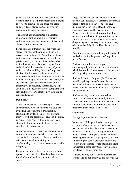physically and emotionally. The school district wants to provide a legitimate reason for students to refuse to consume or use drugs and alcohol and provide assistance to students who have problems with these substances.

The District has implemented a mandatory random drug testing program for students participating in extracurricular activities or with student parking privileges.

Participation in extracurricular activities and student use of school parking facilities is a privilege and not a right. Accordingly, students participating in these activities or with driving privileges carry a responsibility to themselves, their fellow students, their parents/guardians, and their school to exercise prudent judgment, which includes avoiding the use of durgs and alcohol. Furthermore, students involved in extracurricular activities oftentimes become role models for younger children and their peers, and are viewed as special representatives of the community. In assuming these roles, students should have the responsibility of complying with state and federal laws that prohibit their use of drugs and alcohol.

#### **Definitions**

Alters the integrity of a urine sample – means any attempt to alter the outcome of a drug test by adding a substance to a urine sample, attempting to switch a sample, or otherwise interfere with the detection of drugs in the urine, or purposefully over-hydrating oneself in an attempt to dilute the urine to decrease the possible detection of drugs.

Approve contractor – means a certified person, corporation or agency selected by the school district for the purpose of collecting and testing urine samples and maintaining the confidentiality of test results in compliance with this policy.

Extracurricular activities – include any schoolsponsored activity offered by the school district, for which a student does not earn academic credit.

Drug – means any substance which a student may not sell, possess, use, distribute or purchase under federal or state law. The term drug includes, but is not limited to, all controlled substances as defined by federal and Pennsylvania state law, all prescription drugs obtained or used without a prescription and all validly prescribed drugs or over-the-counter drugs being used in dosages, frequency or ways other than lawfully directed by a health care provider.

Drug test – means a scientifically substantiated method to test for the presence of drugs in a person's urine.

Positive test result – means a gas chromatography/mass spectrometry test result which is considered to demonstrate the presence of a drug using minimum standards.

Student Assistance Program (SAP) – means a multidisciplinary team of school district personnel trained to understand and work on issues of adolescent alcohol and drug use, abuse, and dependency.

Student parking permit – means written authorization given to a student by Eastern Lancaster County High School to drive and park a motor vehicle on school property during the time period that school is in session.

# **Guidelines**

# *Testing Requirements and Consent*

No student will be permitted to participate in extracurricular activities or obtain a student parking permit unless the student consents to mandatory random drug testing under this policy. Every school year, students and their parents/guardians must sign a permission form authorizing the school district to request and collect a urine sample for drug testing in order to participate in those activities or have parking privileges on school property.

Students who try out for any extracurricular activity and do not qualify as a member of that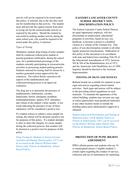activity will not be required to be tested under this policy, if selected, due to the fact they tried out for membership in that activity. The student must still provide the signed consent form prior to trying out for the extracurricular activity as required by the policy. Should the student be successful in making another activity during the same school year, s/he would be required to be tested under this policy, if selected.

# *Types of Testing*

Mandatory random drug testing of urine samples shall be conducted without prior student or parents/guardians notification, during the school year, for a predetermined percentage of the students currently participating in extracurricular activities or possessing student parking permits. Students selected for testing shall be chosen by a number-generated system approved by the contractor. The school district outsources all aspects of the randomization and collection/testing process to an approved contractor.

The drug test is to determine the presence of amphetamines, barbiturates, cocaine, depressants, heroin, marijuana, morphine, methamphetamines, opiates, PCP, stimulates, and valium in the student's urine sample. A test result indicating the presence of any of these substances will be considered a positive test.

If a student refuses to submit a urine sample for testing, the refusal will be deemed a positive test for purposes of this policy. If a student attempts to alter or alters the integrity of a urine sample during the collection process, that conduct will be deemed as a positive test for purposes of this policy.

*Drug Testing for Students in Extracurricular Activities and Student Drivers policy 227.2 can be accessed on the District Website under District link, Policies & Handbooks, School Board Polices.*

# **EASTERN LANCASTER COUNTY SCHOOL DISTRICT NON-DISCRIMINATION POLICY**

The Eastern Lancaster County School District, an equal opportunity employer, will not discriminate in employment, educational programs or activities, based on race, sex, handicap, or because a person is a disabled veteran or a veteran of the Vietnam Era. This policy of non-discrimination extends to all other legally protected classifications. Publication of this policy in this document is in accordance with state and federal laws including Title IX of the Educational Amendments of 1972, Sections 503 & 504 of the Rehabilitations Act of 1973, and the Americans with Disabilities Act of 1990. Inquiries should be directed to the Assistant Superintendent.

# **POSTING OF SIGNS AND NOTICES**

Bulletin boards are available for students to post signs and notices regarding school-related activities. Such signs and notices will be subject to the prevailing school regulations on such materials. To maintain the appearance of the school building, students may not post any sign or notice (particularly mass-produced materials) at any other location inside or outside the building unless prior administrative approval is obtained.

*Student Expression/Distribution and Posting of Materials policy 220 & Student Notices or Posters in School policy 220.1 can be accessed on the District Website under District link, Policies & Handbooks, School Board Polices.*

# **PROTECTION OF PUPIL RIGHTS AMENDMENT**

PPRA affords parents and students who are 18 or emancipated minors ("eligible students") certain rights regarding the conduct of surveys, collection and use of information for marketing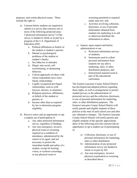purposes, and certain physical exams. These include the right to:

- a) Consent before students are required to submit to a survey that concerns one or more of the following protected areas ("protected information survey") if the survey is funded in whole or in part by a program of the U.S. Department of Education (ED).
	- a. Political affiliations or beliefs of the student or student's parents;
	- b. Mental or psychological problems of the student or student's family;
	- c. Sex behavior or attitudes;
	- d. Illegal, anti-social, selfincriminating, or demeaning behavior;
	- e. Critical appraisals of others with whom respondents have close family relationships;
	- f. Legally recognized privileged relationships, such as with lawyers, doctors, or ministers;
	- g. Religious practices, affiliations, or beliefs of the student or parents; or
	- h. Income other than as required by law to determine program eligibility.
- b) Receive notice and an opportunity to opt a student out of participation in
	- a. Any other protected information survey, regardless of funding;
	- b. Any non-emergency, invasive physical exam or screening required as a condition of attendance, administered by the school or its agent, and not necessary to protect the immediate health and safety of a student, except for hearing, vision, or scoliosis screenings, or any physical exam or

screening permitted or required under state law; and

- c. Activities involving collection, disclosure, or use of personal information obtained from students for marketing or to sell or otherwise distribute the information to others.
- c) Inspect, upon request and before administration or use
	- a. Protection information surveys of students;
	- b. Instruments used to collect personal information from students for any above marketing, sales, or other distribution purposes; and
	- c. Instructional material used as part of the educational curriculum.

The Eastern Lancaster County School District has developed and adopted policies regarding these rights, as well as arrangements to protect student privacy in the administration of protected surveys and the collection, disclosure, or use of personal information for marketing, sales, or other distribution purposes. The Eastern Lancaster County School District will notify parents and eligible students of these policies at the start of each school year and after any substantive changes. The Eastern Lancaster County School District will notify parents and eligible students of the specific approximate dates of the following activities and provide an opportunity to opt a student out of participating in:

- a) Collection, disclosure, or use of personal information for marketing, sales or other distribution
- b) Administration of any protected information survey not funded in whole or in part by ED.
- c) Any non-emergency, invasive physical examination or screening as described above.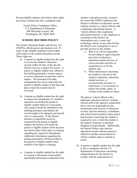Parents/eligible students who believe their rights have been violated may file a complaint with:

> Family Policy Compliance Office U.S. Department of Education 400 Maryland Avenue, SW Washington, DC 20202-4605

# **SCHOOL RECORDS POLICY**

The Family Education Rights and Privacy Act (FERPA) affords parent and students over 18 years of age (eligible students) certain rights with respect to the student education records. These rights are:

- a) A parent or eligible student has the right to review the student's education records within 45 days of the day the District receives a request for access. A parent or eligible student may submit to the building principal a written request to review education records they wish to inspect. The principal will make arrangements for access and notify the parent or eligible student of the time and place where the records may be reviewed.
- b) A parent or eligible student has the right to request the amendment of a student's education record that the parent or eligible student believes is inaccurate. Any request should be submitted to the building principal, and identify the record sought to be changed, and specify why it is inaccurate. IF the District declines to amend the record as requested by the parent or eligible student, the District will notify the parent or eligible student of the decision and advise them of the right to a hearing regarding the request for amendment. Additional information regarding the hearing procedures will be provided to the parent or eligible student when notified of the right to a hearing.
- c) A parent or eligible student has the right to consent to disclosure of personally identifiable information contained in the

student's education records, except to the extent that FERPA authorizes the District to disclose an education record without consent to a school official with a legitimate educational interest. A "school official with a legitimate educational interest" is any employee or consultant of the District, an intermediate unit, a career and technology school, or any other facility the District uses or proposes to use to provide services to the student –

- a. Who is or will be responsible for providing or supervising the provision of education, education-related services, or extra-curricular activities or experiences to or for the student; and
- b. When information concerning the student is relevant to the student's education, educationrelated services, or extracurricular activities or experiences, or is necessary to protect the health, safety, or welfare of the student or others.

The phrase "school official with a legitimate education interest" includes clerical staff of the agencies enumerated above who are responsible for the maintenance and security of education records, and also attorneys, consultants, and school board members when school board action concerning the student is required by law or when the student is the subject of present or potential litigation or legal dispute. Additionally, the School District may disclose education records without consent to official of another school district in which a student seeks or intends to enroll.

d) A parent or eligible student has the right to file a complaint with the U.S. Department of Education concerning alleged failures by the District to comply with the requirements of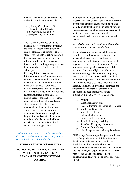FERPA. The name and address of the office that administers FERPA is:

Family Policy Compliance Office U.S. Department of Education 400 Maryland Avenue, SW Washington, DC 20202-5901

e) The District is permitted by law to disclose directory information without the written consent of the parent or eligible student. The parent or eligible student has the right to refuse to permit the disclosures of any or all directory information if a written refusal is forward to the building principal no later than September  $15<sup>th</sup>$  of the current school year.

Directory information means information contained in an education records of a student which would not generally be considered harmful or an invasion of privacy if disclosed. Directory information includes, but is not limited to a student's name, address, telephone number, e-mail address, photos, videos, date and place of birth, names of parent and siblings, dates of attendance, whether the student graduated and the date of graduation, awards received, participation in extracurricular activities, weight and height of interscholastic athletic team members, schools attended within the District, and contact information for a student's parents/guardians.

*Student Records policy 216 can be accessed on the District Website under District link, Policies & Handbooks, School Board Polices.*

# **STUDENTS WITH DISABILITIES**

# **NOTICE TO PARENTS OF CHILDREN WHO RESIDE IN EASTERN LANCASTER COUNTY SCHOOL DISTRICT**

In compliance with state and federal laws, Eastern Lancaster County School District hereby gives notice that it conducts ongoing activities to identify students who may be in need of various student services including special education and related services, services for protected handicapped students, and services for gifted students.

# *Special education (Individuals with Disabilities Education Improvement Act of 2007)*

If you believe your school-age child may be eligible as a child with a disability and in need of special education and related services, screening and evaluation processes are available to you at no cost upon written request. These processes are designed to assess your child's needs and determine eligibility. You may request screening and evaluation at any time, even if your child is not enrolled in the District's public school program. Requests for evaluation and screening should be made in writing to the Building Principal. Individualized services and programs are available for children who are determined to need specially designed instruction due to the following conditions:

- a) Autism
- b) Emotional Disturbance
- c) Hearing Impairment, including Deafness
- d) Intellectual Disability
- e) Multiple Disabilities
- f) Orthopedic Impairment
- g) Other Health Impairment
- h) Specific Learning Disability
- i) Speech and Language Impairment
- j) Traumatic Brain Injury
- k) Visual Impairment, including Blindness

Children age three through the age of admission to the first grade are also eligible if they have developmental delays and as a result, need Special Education and related services. Developmental delay is defined as a child who is less than the age of beginners and at least three years of age and is considered to have a developmental delay when one of the following exists: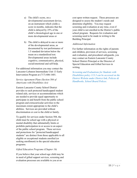- a) The child's score, on a developmental assessment device, on an instrument which yields a score in months, indicates that the child is delayed by 25% of the child's chronological age in one or more developmental areas or
- b) The child is delayed in one or more of the developmental areas, as documented by test performance of 1.5 standard deviation below the mean on a standardized test. Developmental areas include cognitive, communicative, physical, social/emotional and self-help.

For additional information you may contact the Lancaster-Lebanon Intermediate Unit 13 Early Intervention Program at (717) 606-1601.

# *Service Agreement Plans (Section 504 of Americans with Disabilities Act)*

Eastern Lancaster County School District provides to each protected handicapped student related aids, services or accommodations which are needed to provide equal opportunity to participate in and benefit from the public school program and extracurricular activities to the maximum extent appropriate to the child's abilities. Services are provided without discrimination or cost to the child or family.

To qualify for services under Section 504, the child must be school age with a physical or mental disability that substantially limits or prohibits participation in or access to an aspect of the public school program. These services and protections for "protected handicapped students" are distinct from those applicable to all eligible or exceptional students enrolled (or seeking enrollment) in the special education programs.

# *Gifted Education Programs (Chapter 16)*

If you believe that your school-age child may be in need of gifted support services, screening and evaluation processes are available to you at no

cost upon written request. These processes are designed to assess the student's needs and determine eligibility. You may request screening and evaluation at any time, even if your child is not enrolled in the District's public school program. Requests for evaluation and screening need to be made in writing to the Building Principal.

# *Additional Information*

For further information on the rights of parents and children, provision of services, screening and evaluation, and procedural safeguards, you may contact an Eastern Lancaster County School District Principal or the Director of Special Education and Gifted Services in writing.

*Screening and Evaluations for Students with Disabilities policy 113.3 can be accessed on the District Website under District link, Policies & Handbooks, School Board Polices.*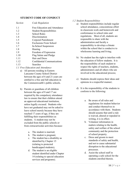# **STUDENT CODE OF CONDUCT**

| <b>Section</b> | Code Regulation                 |
|----------------|---------------------------------|
| 1.1            | Free Education and Attendance   |
| 1.2            | <b>Student Responsibilities</b> |
| 1.3            | <b>School Rules</b>             |
| 1.4            | Discrimination                  |
| 1.5            | Corporal Punishment             |
| 1.6            | Exclusions From School          |
| 1.7            | In-School Suspension            |
| 1.8            | Hearing                         |
| 1.9            | Freedom of Expression           |
| 1.10           | Flag Salute and Pledge          |
| 1.11           | Hair and Dress                  |
| 1.12           | Confidential Communications     |
| 1.13           | Searches                        |
|                |                                 |

*1.1 Free Education and Attendance*

- a) All persons residing in Eastern Lancaster County School District between the ages of 6 and 21 years are entitled to a free and full education in the Commonwealth's public schools.
- b) Parents or guardians of all children between the ages of 8 and 17 are required by the compulsory attendance law to ensure that their children attend an approved educational institution, unless legally excused. Students who have not graduated may not be asked to leave school merely because they have reached 17 years of age, if they are fulfilling their responsibilities as students. A student may not be excluded from the public schools or from extracurricular activities because:
	- a. The student is married;
	- b. The student is pregnant;
	- c. The student has a disability as identified by Chapter 15 (relating to protected handicapped students);
	- d. The student is an eligible student identified under Chapter 14 (relating to special education services and programs).

# *1.2 Student Responsibilities*

- a) Student responsibilities include regular school attendance, conscientious effort in classroom work and homework and conformance to school rules and regulations. Most of all, students are responsible to share with the administration and faculty a responsibility to develop a climate within the school that is conducive to wholesome learning and living;
- b) No student has the right to interfere with the education of fellow students. It is the responsibility of each student to respect the rights of teachers, students, administrators and all others who are involved in the educational process;
- c) Students should express their ideas and opinions in a respectful manner;
- d) It is the responsibility of the students to conform to the following:
	- a. Be aware of all rules and regulations for student behavior and conduct themselves in accordance with them. Students should assume that until a rule is waived, altered or repealed in writing, it is in effect.
	- b. Volunteer information in matters relating to the health, safety and welfare of the school community and the protection of school property.
	- c. Dress and groom to meet standards of safety and health, and not to cause substantial disruption to the educational processes.
	- d. Assist the school staff in operating a safe school for the students enrolled therein.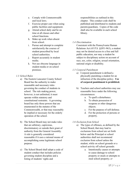- e. Comply with Commonwealth and local laws.
- f. Exercise proper care when using public facilities and equipment.
- g. Attend school daily and be on time at all classes and other school functions.
- h. Make up work when absent from school.
- i. Pursue and attempt to complete satisfactorily the courses of student prescribed by local school authorities.
- j. Report accurately in student media.
- k. Not use obscene language in student media or on school premises.

# *1.3 School Rules*

- a) The Eastern Lancaster County School Board has the authority to make reasonable and necessary rules governing the conduct of students in school. The rule making power, however, is not unlimited; it must operate within statutory and constitutional restraints. A governing board has only those powers that are enumerated in the statutes of the Commonwealth, or that may reasonably be implied or necessary for the orderly operation of the school.
- b) The School Board may not make rules that are arbitrary, capricious, discriminatory or outside their grant of authority from the General Assembly. A rule is generally considered reasonable if it uses a rational means of accomplishing some legitimate school purpose.
- c) The School Board shall adopt a code of student conduct that includes policies governing student discipline and a listing of students' rights and

responsibilities as outlined in this chapter. This conduct code shall be published and distributed to students and parents/guardians. Copies of the code shall also be available in each school library.

# *1.4 Discrimination*

Consistent with the Pennsylvania Human Relations Act (43 P.S. §§951-963), a student may not be denied access to a free and full public education, nor may a student be subject to disciplinary action on account of race, sex, color, religion, sexual orientation, national origin or disability.

# *1.5 Corporal Punishment*

- a) Corporal punishment is defined a physically punishing a student for an infraction of the discipline policy. **Use of corporal punishment is prohibited.**
- b) Teachers and school authorities may use reasonable force under the following circumstances:
	- a. To quell a disturbance.
	- b. To obtain possession of weapons or other dangerous objects.
	- c. For the purpose of self-defense.
	- d. For the protection of persons or property.

# *1.6 Exclusion from School*

- a) The types of offenses, as defined by the School Board, that may lead to exclusions from school are set forth below and the Principal or school authorities shall not recommend exclusion from school unless the student, while on school grounds or a school activity off school grounds:
	- a. Intentionally causes or attempts to cause damage to school property or steals or attempts to steal school property; *or*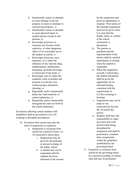- b. Intentionally causes or attempts to cause damage to private property or steals or attempts to steal private property; *or*
- c. Intentionally causes or attempts to cause physical injury to another person except in selfdefense; *or*
- d. Knowingly possesses or transmits any firearm, knife, explosive, or other dangerous object of no reasonable use to the student at school; *or*
- e. Knowingly possesses, uses, transmits, or is under the influence of any narcotic drug, amphetamines, barbiturates, marijuana, alcoholic beverage, or intoxicant of any kind; *or*
- f. Knowingly uses or copies the academic work of another and presents it as his/her own without proper attribution, cheating; *or*
- g. Repeatedly and/or intentionally defies the valid authority of school authorities; *or*
- h. Repeatedly and/or intentionally disregards the rules set forth by the school authorities.

Exclusions affecting certain students with disabilities shall be governed by §14.143 (relating to discipline procedures).

- b) Exclusion from school may take the form of suspension or expulsion.
	- a. Suspension is exclusion from school for a period of from 1 to 10 consecutive school days.
		- i. Suspensions may be given by the principal or person in charge of the public school.
		- ii. A student may not be suspended until the students has been informed of the reasons

for the suspension and given an opportunity to respond. Prior notice of the intended suspension need not be given when it is clear that the health, safety or welfare of the school community is threatened.

- iii. The parents or guardians and the superintendent of the district shall be notified immediately in writing when the student is suspended.
- iv. When the suspension exceeds 3 school days, the student and parent shall be given the opportunity for an informal hearing consistent with the requirements in §12.8(c) (relating to hearing).
- v. Suspensions may not be made to run consecutively beyond the 10 -school day period.
- vi. Students shall have the responsibility to make up exams and work missed while being disciplined by suspension and shall be permitted to complete these assignments within the guidelines established by the governing board.
- b. Expulsion is exclusion from school by the governing board for a period exceeding 10 school ydas and may be permanent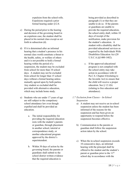expulsion from the school rolls. Expulsions required a prior formal hearing under §12.8.

- c) During the period prior to the hearing and decision of the governing board in an expulsion case, the student shall be placed in his normal class except as set forth in subsection (d).
- d) If it is determined after an informal hearing that a student's presence in his normal class world constitute a threat to the health, safety, or welfare of others and it is not possible to hold a formal hearing within the period of a suspension, the student may be excluded from school for more than 10 school days. A student may not be excluded from school for longer than 15 school days without a formal hearing unless mutually agreed upon by both parties. Any student so excluded shall be provided with alternative education, which may include home study.
- e) Students who are under 17 years of age are still subject to the compulsory school attendance law even though expelled and shall be provided an education.
	- a. The initial responsibility for providing the required education rests with the student's parents or guardian, through placement in another school, tutorial or correspondence study, or another educational program approved by the district's superintendent.
	- b. Within 30 days of action by the governing board, the parents or guardians shall submit to the school district written evidence that the required education is

being provided as described in paragraph (1) or that they are unable to do so. If the parents or guardians are unable to provide the required education, the school entity shall, within 10 days of receipt of the notification, make provision for the student's education. A student with a disability shall be provided educational services as required by the Individuals With Disabilities Education Act (20 U.S.C.A.§§1400-1482).

- c. If the approved educational program is not complied with the school entity may take action in accordance with 42 Pa.C.S. Chapter 63(relating to the Juvenile Act) to ensure that the child will receive a proper education. See § 12.1(b) (relating to free education and attendance).
- *1.7 Exclusion from Classes – In-School Suspension*
	- a) A student may not receive an in-school suspension unless the student has been informed of the reasons for the suspension and has been given an opportunity to respond before the suspension becomes effective.
	- b) Communication to the parents or guardian shall follow the suspension action taken by the school.
	- c) When the in-school suspension exceeds 10 consecutive days, an informal hearing with the principal shall be offered to the student and the student's parent or guardian prior to the 11<sup>th</sup> school day in accordance with the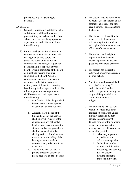procedures in §12.8 (relating to hearings).

# *1.8 Hearings*

- a) General. Education is a statutory right, and students shall be afforded dur process if they are to be excluded from school. In a case involving a possible expulsion, the student is entitled to a formal hearing.
- b) Formal hearings. A formal hearing is required in all expulsion actions. This hearing may be held before the governing board or an authorized committee of the board, or a qualified hearing examiner appointed by the board. When a committee of the board, or a qualified hearing examiner appointed by the board. When a committee of the board or a hearing examiner conducts the hearing, a majority vote of the entire governing board is required to expel a student. The following due process requirements shall be observed with regard to the formal hearing:
	- a. Notification of the charges shall be sent to the student's parents or guardians by certified mail.
	- b. At least 3 days' notice of the time and place of the hearing shall be given. A copy of the expulsion policy, notice that legal counsel may represent the student and hearing procedures shall be included with the sharing notice. A student may request the rescheduling of the hearing when the student demonstrates good cause for an extension.
	- c. The hearing shall be held in private unless the student or parent requests a public hearing.
- d. The student may be represented by counsel, at the expense of the parents or guardians, and may have a parent or guardian attend the hearing.
- e. The student has the right to be presented with the names of witnesses against the student, and copies of the statements and affidavits of those witnesses.
- f. The student has the right to request that the witnesses appear in person and answer questions or be cross-examined.
- g. The student has the right to testify and present witnesses on his own behalf.
- h. A written or audio record shall be kept of the hearing. The student is entitled, at the student's expense, to a copy. A copy shall be provided at no cost to a student who is indigent.
- i. The proceeding shall be held within 15 school days of the notification of charges, unless mutually agreed to by both parties. A hearing may be delayed for any of the following reasons, in which case the hearing shall be held as soon as reasonably possible:
	- i. Laboratory reports are needed from law enforcement agencies
	- ii. Evaluations or other court or administrative proceedings are pending due to a student invoking his rights under the Individuals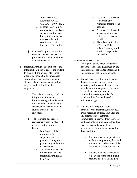With Disabilities Education Act (20 U.S.C.A.§§1400-1482).

- iii. In cases in juvenile or criminal court involving sexual assault or serious bodily injury, delay is necessary due to the condition or best interests of the victim.
- j. Notice of a right to appeal the results of the hearing shall be provided to the student with the expulsion decision.
- c) Informal hearings. The purpose of the informal hearing is to enable the student to meet with the appropriate school official to explain the circumstances surrounding the event for which the student is being suspended or to show why the student should not be suspended.
	- a. The informal hearing is held to bring forth all relevant information regarding the event for which the student is being suspended or to show why the student should not be suspended.
	- b. The following due process requirements shall be observed in regard to the informal hearing:
		- i. Notification of the reasons for the suspension shall be given in writing to the parents or guardians and to the student.
		- ii. Sufficient notice of the time and place of the informal hearing shall be given.
- iii. A student has the right to question any witnesses present at the hearing.
- iv. A student has the right to speak and produce witnesses on his own behalf.
- v. The school entity shall offer to hold the informal hearing within the first 5 days of the suspension.
- *1.9 Freedom of Expression*
	- a) The right of public school students to freedom of speech is guaranteed by the Constitution of the United States and the Constitution of the Commonwealth.
	- b) Students shall have the right to express themselves unless the expression materially and substantially interferes with the educational process, threatens serious harm to the school or community, encourages unlawful activity or interferes with another individual's rights.
	- c) Students may use publications, handbills, announcements, assemblies, group meetings, buttons, armbands and any other means of common communication, provided that the use of public school communications facilities shall be in accordance with the regulations of the authority in chard of those facilities.
		- a. Students have the responsibility to obey laws governing libel and obscenity and to be aware of the full meaning of their expression.
		- b. Students have the responsibility to be aware of the feelings and opinions of others and to give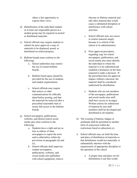others a fair opportunity to express their views.

- d) Identification of the individual student or at least one responsible person in a student group may be required on posted or distributed materials.
- e) School officials may require students to submit for prior approval a copy of materials to be displayed, posed, or distributed on school property.
- f) Bulletin boards must conform to the following:
	- a. School authorities may restrict the use of certain bulletin boards.
	- b. Bulletin board space should be provided for the use of students and student organizations.
	- c. School officials may require that notices or other communications be officially dated before posting, and that the materials be removed after a prescribed reasonable time to assure full access to the bulletin boards.
- g) School newspapers, publications, websites, and district/school social media sites must conform to the following:
	- a. Students have a right and are as free as editors of other newspapers to report the news and to editorialize within the provisions in paragraphs (d) and (e).
	- b. School officials shall supervise student newspapers, publications, websites, and social media sites published with school equipment, remove

obscene or libelous material and edit other material that would cause a substantial disruption or interference with school activities.

- c. School officials may not censor or restrict material simply because it is critical of the school or its administration.
- d. Prior approval procedures regarding copy for school newspapers, publications, and social media sites must identify the individual to whom the material is to be submitted and establish a limitation on the time required to make a decision. If the prescribed time for approval elapses without a decision, the material shall be considered authorized for distribution.
- e. Students who are not members of the newspaper, publications and social media sites staff, shall have access to its pages. Written criteria for submission of material by non staff members shall be developed and distributed to all students.
- h) The wearing of buttons, badges or armbands shall be permitted as another form of expression within the restrictions listed in subsection (c).
- i) School officials may set forth the time and place of distribution of materials so that distribution would not materially or substantially interfere with the requirements of appropriate discipline in the operation of the school.
	- a. A proper time and place set for distribution is one that would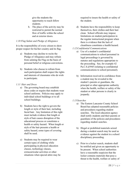give the students the opportunity to reach fellow students.

b. The place of the activity may be restricted to permit the normal flow of traffic within the school and at exterior doors.

# *1.10 Flag Salute and Pledge of Allegiance*

It is the responsibility of every citizen to show proper respect for his/her country and its flag.

- a) Students may decline to recite the Pledge of Allegiance and may refrain from saluting the Flag on the basis of personal belief or religious convictions.
- b) Students who choose to refrain from such participation shall respect the rights and interests of classmates who do wish to participate.

# *1.11 Hair and Dress*

- a) The governing board may establish dress codes or require that students wear school uniforms. Policies may apply to individual school buildings or to all school buildings.
- b) Students have the right to govern the length or style of their hair, including facial hair. Any limitation of this right must include evidence that length or style of hair causes disruption of the educational process or constitutes a health or safety hazard. When length or style of the hair presents a health or safety hazard, some types of covering shall be used.
- c) Students may be required to wear certain types of clothing while participating in physical education classes, technology classes, extracurricular activities or other situations when special attire may be

required to insure the health or safety of the student.

- d) Students have the responsibility to keep themselves, their clothes and their hair clean. School officials may impose limitations on student participation in the regular instructional program when there is evidence that the lack of cleanliness constitutes a health hazard.
- *1.12Confidential Communications*
	- a) Use of a student's confidential communications to school personnel in legal proceedings is governed by statutes and regulations appropriate to the proceeding. See, for example 42 Pa.C.S.§5945 (relating to confidential communications to school personnel).
	- b) Information received in confidence from a student may be revealed to the student's parents or guardians, the principal or other appropriate authority when the health, welfare or safety of the student or other persons is clearly in jeopardy.

# *1.13 Searches*

- a) The Eastern Lancaster County School Board has adopted reasonable policies and procedures regarding student searches. The local education agency shall notify students and their parents or guardians of the policies and procedures regarding student searches.
- b) Illegal or prohibited materials seized during a student search may be used as evidence against the student in a school disciplinary proceeding.
- c) Prior to a locker search, students shall be notified and given an opportunity to be present. When school authorities have a reasonable suspicion that the locker contains materials that pose a threat to the health, welfare or safety of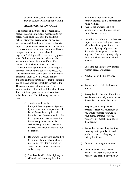students in the school, student lockers may be searched without prior warning.

# **TRANSPORTATION CODE**

The purpose of the bus code is to teach each student to assume individual responsibility for safety while being transported to and from school. Safety for everyone will be realized only when each bus student realizes that safety depends upon their own conduct and the conduct of everyone else on the bus. Each school bus is equipped with a video camera box that is capable of holding a video camera at any given time. Neither the school bus driver nor the students are able to determine if the video camera is in the box on their bus. The Transportation Department will be rotating the cameras throughout the bus fleet as necessary. The cameras on the school buses will record oral communications as well as visual images. Students and their parents agree that the students use of the school bus constitutes consent to the District's audio/visual monitoring. The Administration will monitor all the school buses for Disciplinary problems as well as safetyrelated concerns. The following rules are in order:

- a) Pupils eligible for bus transportation are given assignments by the transportation department. It is a violation for a pupil to ride a bus other than the one to which s/he is assigned or to meet or leave the bus at a stop other than his/her assigned stop. Request to change buses to visit schoolmates shall not be granted.
- b) Be prompt. Be at your bus stop five (5) minutes before scheduled pickup. Do not have the bus wait for you at the bus stop in the morning and evening.
- c) Stand on the side of the highway or sidewalk and in no way interfere

with traffic. Bus riders must conduct themselves in a safe manner while waiting.

- d) Respect the property rights of people who reside at or near the bus stop. Keep off lawns.
- e) Board the bus only when the bus has stopped and cross the highway only when the driver signals for you to cross the highway only when the driver signals for you to cross the highway. Cross the highway only in front of the bus – NEVER behind the bus.
- f) Board the bus in an orderly fashion without delay. Do not run!
- g) All students will sit in assigned seats.
- h) Remain seated while the bus is in motion.
- i) Recognize that the school bus driver has the same authority on the bus as the teacher has in the classroom.
- j) Respect school and personal property. Treat bus equipment as you would valuable furniture in your home. Damage to seats, windows, etc. must be paid for by the offender.
- k) Remember that scuffling, fighting, smoking, water pistols, etc. and profane or indecent language are strictly forbidden.
- l) Deny no rider a legitimate seat.
- m) Keep windows closed in cold weather. In warm weather when windows are opened, have no part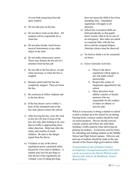of your body projecting from the open window.

- n) Do not take pets on the bus.
- o) Do not throw trash on the floor. All students will be responsible for a clean bus.
- p) Do not place books, lunch boxes, musical instruments or any other object in the aisle.
- q) Do not make unnecessary noises. These may distract the bus driver's attention from his/her job.
- r) Do not talk to the bus driver, except when necessary or when the bus is stopped.
- s) Remain seated until the bus has completely stopped. Then exit from the bus.
- t) Be courteous to fellow students and to the bus driver.
- u) If the bus doesn't arrive within  $\frac{1}{2}$ hour of the scheduled time at the bus stop, please contact the school.
- v) After leaving the bus, cross the road at lest ten (10) feet in front of the bus, but only after looking to be sure that no traffic is approaching from either direction. Help look after the safety and comfort of small children. Be alert to the danger signal from the driver.
- w) Violation of any of the above regulations poses a potential safety hazard for a bus load of children. A student may lose his privilege to ride the bus if the regulations are violated. Loss of riding privilege

does not mean the child is free from attending class. Attendance regulations will apply to all absences.

- x) School bus evacuation drills are held periodically so that pupils know exactly what to do in case of an emergency. Bus riders are asked to cooperate fully with the bus driver and the assigned helpers. Absolute silence must be observed.
- y) No food or drink is to be consumed on buses.
- z) Extra Curricular Activities
	- a. Observe the above regulations which apply to any trip under school sponsorship.
	- b. Respect the wishes of chaperones appointed by the school.
	- c. Obey directions from athletic coaches or faculty sponsors who are responsible for the conduct of riders on athletic or activity trips.

When it is necessary to bring a student to school or pick a student up at the school by car during bussing hours, extreme caution should be used on school property. Drivers should exercise extreme caution and follow the individual building's traffic patterns when delivering nd picking up students. Avoid areas used by buses for unloading and loading students at the Middle School and High School campus. Delivery and pick-up of students should be made in the rear, outside of the Senior High gym/cafeteria lobby.

*Transportation Code of Student Conduct developed per Transportation policy 810 which can be accessed on the District Website under District link, Policies & Handbooks, School Board Polices.*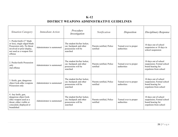# **K-12 DISTRICT WEAPONS ADMINISTRATIVE GUIDELINES**

| <b>Situation Category</b>                                                                                                                                      | <i>Immediate Action</i>   | Procedure<br>Investigation                                                                | Notification                         | Disposition                          | Disciplinary Response                                                                            |
|----------------------------------------------------------------------------------------------------------------------------------------------------------------|---------------------------|-------------------------------------------------------------------------------------------|--------------------------------------|--------------------------------------|--------------------------------------------------------------------------------------------------|
| 1. Pocket knife (3" blade<br>or less), single edged blade<br>Possession only, No threat<br>involved or prior display,<br>not used as a weapon first<br>offense | Administrator is summoned | The student his/her locker,<br>car, backpack and other<br>possessions will be<br>searched | Parents notified, Police<br>notified | Turned over to proper<br>authorities | 10 days out of school<br>suspension or 10 days in<br>school suspension                           |
| 2. Pocket knife Possession<br>only<br>2nd offense                                                                                                              | Administrator is summoned | The student his/her locker,<br>car, backpack and other<br>possessions will be<br>searched | Parents notified, Police<br>notified | Turned over to proper<br>authorities | 10 days out of school<br>suspension; Formal school<br>board hearing for<br>expulsion from school |
| 3. Knife, gun, dangerous<br>object look-alike weapons<br>Possession only                                                                                       | Administrator is summoned | The student his/her locker,<br>car, backpack and other<br>possessions will be<br>searched | Parents notified, Police<br>notified | Turned over to proper<br>authorities | 10 days out of school<br>suspension; Formal school<br>board hearing for<br>expulsion from school |
| 4. Any knife, gun,<br>dangerous object look-<br>alike weapon used as a<br>threat, either visible or<br>concealed, displayed or<br>brandished                   | Administrator is summoned | The student his/her locker,<br>car, backpack and other<br>possessions will be<br>searched | Parents notified, Police<br>notified | Turned over to proper<br>authorities | 10 days out of school<br>suspension; Formal school<br>board hearing for<br>expulsion from school |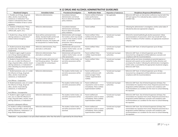| K-12 DRUG AND ALCOHOL ADMINISTRATIVE GUIDELINES                                                                                                                                                                     |                                                                                                                                                                                             |                                                                                                                                                                                         |                                                                                                                        |                                       |                                                                                                                                                                                                                                                                                                         |
|---------------------------------------------------------------------------------------------------------------------------------------------------------------------------------------------------------------------|---------------------------------------------------------------------------------------------------------------------------------------------------------------------------------------------|-----------------------------------------------------------------------------------------------------------------------------------------------------------------------------------------|------------------------------------------------------------------------------------------------------------------------|---------------------------------------|---------------------------------------------------------------------------------------------------------------------------------------------------------------------------------------------------------------------------------------------------------------------------------------------------------|
| <b>Situational Category</b>                                                                                                                                                                                         | <b>Immediate Action</b>                                                                                                                                                                     | Procedures/Investigation                                                                                                                                                                | <b>Notification Made</b>                                                                                               | <b>Disposition of Substances</b>      | <b>Disciplinary Responses/Rehabilitation</b>                                                                                                                                                                                                                                                            |
| 1. Possible use of drugs, drug look-<br>alikes, alcohol, mood-altering<br>substances or medications* by a<br>student is indicated but there is little<br>evidence of violation of law or school<br>regulation.      | Referral to Administration.                                                                                                                                                                 | Consultation between<br>Administration and School<br>Nurse to determine possible<br>policy violations.                                                                                  | Parents notified of behavior<br>and/or performance<br>indicators, if warranted.                                        | Not applicable.                       | Referral to SAP team; an intervention conference may be held if the<br>SAP team agrees if it is indicated by data; student is informed of<br>available help.                                                                                                                                            |
| 2. Violation of Medication *Policy<br>(includes over-the-counter drugs:<br>caffeine pills, aspirin, etc.).                                                                                                          | Referral to Administration.                                                                                                                                                                 | Consultation between<br>Administration and School<br>Nurse to determine possible<br>policy violations.                                                                                  | Parent notified.                                                                                                       | Medical Personnel.                    | Following the administrator's investigation, further action taken if<br>indicated by data (see appropriate category).                                                                                                                                                                                   |
| 3. Student has a drug, alcohol, mood-<br>altering substance or medication*-<br>related medical emergency.                                                                                                           | Nurse will be summoned imme-<br>diately. Standard health and first aid<br>procedures will be followed. If<br>medically necessary, the student will<br>be transported to a medical facility. | Administration will investigate<br>the incident, which may include<br>a search of the student, his/her<br>locker, car and other<br>possessions. Nurse will prepare<br>a written report. | Parent notified. Police<br>notified at the discretion of<br>the Administration.                                        | Turned over to proper<br>authorities. | Referral for mental health/drug & alcohol assessment. Follow<br>recommendations of assessment, which may include SAP Team<br>referral. If evidence of further violation, see appropriate situational<br>category.                                                                                       |
| 4. Student possesses drug-related<br>paraphernalia. First Offense -<br>Cooperative.                                                                                                                                 | Referral to Administration. Para-<br>phernalia is confiscated.                                                                                                                              | Administrator will search the<br>student, his/her locker, car and<br>other possessions.                                                                                                 | Parent notified. Police<br>notified.                                                                                   | Turned over to proper<br>authorities. | Referral to SAP Team. In-School Suspension up to 10 days.                                                                                                                                                                                                                                               |
| 5. Student is again caught in posses-<br>sion of drug-related paraphernalia.<br>Second or subsequent offense.                                                                                                       | Referral to Administration. Para-<br>phernalia is confiscated.                                                                                                                              | Administrator will search the<br>student, his/her locker, car and<br>other possessions.                                                                                                 | Parent notified. Police<br>notified. Superintendent<br>notified.                                                       | Turned over to proper<br>authorities. | Referral to SAP Team. In-School Suspension up to 10 days.<br>Assessment by a designated certified addictions counselor and<br>compliance with the recommendations.                                                                                                                                      |
| 6. Student is found to be in posses-<br>sion, use, or under the influence of<br>drugs, drug look-alikes, alcohol, mood-<br>altering substances, or medications*<br>when attending any school sponsored<br>function. | The staff member will contact and<br>brief the group advisor. The advisor<br>is responsible for contacting an<br>administrator.                                                             | The student, his/her locker, car<br>and other possessions will be<br>searched.                                                                                                          | Parent notified. Police<br>notified.                                                                                   | Turned over to proper<br>authorities. | Student will be sent home immediately at parental expense or<br>detained until a parent can be reached for further direction and<br>accompany the student. Following the administrators investigation,<br>further action, as provided by the appropriate situational category.<br>Referral to SAP Team. |
| 7. Student possesses, uses, or is under<br>the influence of drugs, drug look-<br>alikes, alcohol, mood-altering<br>substances, or medications*.<br>First Offense - Cooperative                                      | Referral to Administration.                                                                                                                                                                 | The student, his/her locker, car<br>and other possessions will be<br>searched.                                                                                                          | Parent notified and im-<br>mediate conference with<br>parent arranged. Police<br>notified. Superintendent<br>notified. | Turned over to proper<br>authorities. | Referral to SAP Team. In-School Suspension up to 10 days.<br>Assessment by a designated certified addictions counselor and<br>compliance with the recommendations.                                                                                                                                      |
| 8. Student possesses, uses, or is under<br>the influence of drugs, drug look-<br>alikes, alcohol, mood-altering<br>substances, or medications*.<br>First Offense - Uncooperative                                    | Referral to Administration.                                                                                                                                                                 | The student, his/her locker, car<br>and other possessions will be<br>searched.                                                                                                          | Parent notified and<br>requested to come to school<br>immediately. Police notified.<br>Superintendent notified.        | Turned over to proper<br>authorities. | Referral to SAP Team. Out of-School Suspension (10 days). Rec-<br>ommendation for expulsion from school. Required assessment by a<br>designated certified addictions counselor and compliance with<br>recommendations as a condition for the return to school following<br>the expulsion.               |
| 9. Student is again caught in posses-<br>sion, use, or under the influence of<br>drugs, drug look-alikes, alcohol, mood-<br>altering substances, or medications*.<br>Second or subsequent offense.                  | Referral to Administration.                                                                                                                                                                 | The student, his/her locker, car<br>and other possessions will be<br>searched.                                                                                                          | Parent notified and<br>requested to come to school<br>immediately. Police notified.<br>Superintendent notified.        | Turned over to proper<br>authorities. | Referral to SAP Team. Out of-School Suspension (10 days). Rec-<br>ommendation for expulsion from school. Required assessment by a<br>designated certified addictions counselor and compliance with<br>recommendations as a condition for the return to school following<br>the expulsion.               |
| 10. Student is selling or distributing<br>drugs, drug look-alikes, alcohol, mood-<br>altering substances, medications*, or<br>drug-related paraphernalia.                                                           | Referral to Administration.                                                                                                                                                                 | The student, his/her locker, car<br>and other possessions will be<br>searched.                                                                                                          | Parent notified and<br>requested to come to school<br>immediately. Police notified.<br>Superintendent notified.        | Turned over to proper<br>authorities. | Referral to SAP Team. Out of-School Suspension (10 days). Rec-<br>ommendation for expulsion from school. Required assessment by a<br>designated certified addictions counselor and compliance with<br>recommendations as a condition for the return to school following<br>the expulsion.               |

\*Medication – any prescribed or non-prescribed medication other than that which is supervised by the School Nurse.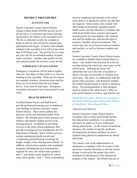# **DISTRICT PROCEDURES**

#### **ACTIVITY FEE**

Eastern Lancaster County School District charges a thirty-dollar (\$30.00) activity fee for all activities, co-curricular and extra-curricular, sponsored by the district at the secondary level. The fee is collected in order for a student to begin an activity and will not be returned once participation has begun. A family with multiple students at the secondary level will not pay more than \$120.00 per year. The activity fee is a once per year cost for an unlimited number of sports and/or activities. Families who qualify for free and reduced lunches do not have to pay the fee.

# **EMERGENCY EVACUATIONS**

Emergency evacuations will be held at regular intervals. The object of these drills is to clear the building as fast a possible. When the fire alarms are sounded, windows, classroom doors and fire doors are to be closed when the last student leaves. Exits must be kept open. Emergency evacuation instructions have been posted in each room.

#### **HEALTH SERVICES**

Certified School Nurses and Staff Nurses provide professional nursing care to students in each building in Eastern Lancaster County School District. These nurses address the physical, social, and emotional health of the student. The ultimate goal of their practice is to enhance and support student success in the learning process. In addition to providing services to the entire school population, they provide screening services mandated by the PA Department of Health. Some of these services include maintaining health records and coordinating and performing screenings for height, weight, vision, hearing and scoliosis. In addition, school nurses monitor state mandated programs including physical examinations, required for entry into school and at grades 6 and 11, and dental exams required for school entry and in grades 3 and 7. These examinations

must be completed and returned to the school nurse prior to or during the school year that they are required. School nurses also consult with other health professionals regarding student health issues, provide education to students and staff about health issues, monitor and request immunizations for each student, refer students and staff for health care, and provide input to promote a healthy school environment. The nurses may also act as liaisons between students and teachers, as well as, between students and parents.

Eastern Lancaster County School District nurses are available to handle school related illness or injury. Any student who becomes ill or has an accident during the school day must report to the school nurse. Although the nurse will administer first aid at the time of accident or illness s/he may not prescribe or continue treat such cases. The nurse, in collaboration with the parent when necessary, will determine whether the student should remain in school or should go home. The parent/guardian or their designee needs to report to the school nurse's office to pick up the student, as well as, sign him/her out.

# *Health Services policy 209 can be accessed on the District Website under District link, Policies & Handbooks, School Board Polices.*

#### *Administering Medicine*

Eastern Lancaster County School District recognizes that to insure good health and the best educational conditions, it is sometimes necessary for pupils to receive medication during school hours. As the science of medicine advances, the number of specific medicines developed also increases and there are more students being placed on medications by family physicians.

The school's role in the administration of medication to students is that of overseer of the physician or parent directions so that the correct dosage is received at the proper time with a minimum of interferences to the educational program of the student. The District has put in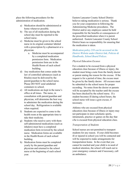place the following procedures for the administration of medication.

- a) Medication should be administered at home whenever possible.
- b) The use of all medication during the school day must be reported to the school nurse.
- c) Medicine must be given to the school nurse in its original container labeled with a prescription by a pharmacist or a physician.
	- a. Medicine must be accompanied by a completed medication permission form. Medication permission form are in the Health Room of each school building.
- d) Any medication that comes under the law of controlled substances (such as Ritalin) must be delivered by the parent/guardian to the school nurse. Please DO NOT send unlabeled containers to school.
- e) All medications are kept in the nurse's office at all times. The nurse, in consultation with parent/guardian and physician, will determine the best way to administer the medication during the school day. Refrigeration is available when required.
- f) Students are expected to come to the health room at the appropriate time to take their medicine.
- g) Students who need to carry with them self-administered medications (such as inhalers) must have a completed medication form reviewed by the school nurse. Medication forms are available in the Health Room of each school building.
- h) Medication forms must be completed yearly by the parent/guardian and physician and returned to the school nurse at the beginning of each school year.

Eastern Lancaster County School District believes taking medication is serious. Thank you for your cooperation in following the Administering Medicine procedures. The District and/or any employee cannot be held responsible for the benefits or consequences of the prescribed medication when it is parent authorized. Eastern Lancaster County School District bears no responsibility for ensuring that the medication is taken.

# *Medication policy 210 can be accessed on the District Website under District link, Policies & Handbooks, School Board Polices.*

# *Physical Education Excuses*

For a student to be excused from a physical education class because of illness or injury, the student must bring a note from the family doctor or parent stating the reason for the excuse. If the request is for a period of time, the excuse must be given by the family doctor. All excuses must be submitted to the school nurse for proper recording. No notes from the doctor or parents will be accepted by the teacher until the excuse has been checked by the school nurse. If a student becomes ill during school hours, the school nurse will issue a gym excuse, if necessary.

Athletes who are excused from physical education class because of illness or injury may not participate in inter-scholastic sports, intramurals, practice or games on the day that s/he is excused from physical education class.

# *Transportation of Students*

School nurses are not permitted to transport students for any reason. If your child becomes ill or injured in school you will be contacted and will be expected to make arrangements for transportation home. In the event that you cannot be reached and your child is in need of medical attention, the school will reach out to your emergency contacts and if necessary, call an ambulance.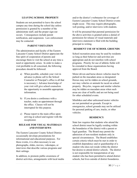### **LEAVING SCHOOL PROPERTY**

Students are not permitted to leave the school campus any time during the school day unless permission is granted by a member of the administrate staff, and the proper sign-out occurs. Consequences include parent notification, and suspension. Law enforcement may be contacted.

# **PARENT VISITATION**

The administration and faculty of the Eastern Lancaster County School District appreciate the fine spirit of cooperation of parents and encourage them to visit the school at any time a need or opportunity arises. In order to make a visit profitable to all concerned, the following procedure should be followed:

- a) When possible, schedule your visit in advance (a phone call to the School Counselor or Principal's office is all that is necessary.) Advance knowledge of your visit will give school counselors the opportunity to assemble appropriate information.
- b) If you desire a conference with a teacher, make an appointment through the office. Classes will not be interrupted for this purpose.
- c) Please report to the main office upon arriving at school and register with the receptionist.

# **RELEASE FOR VISUAL MATERIALS AND INTERVIEWS**

The Eastern Lancaster County School District occasionally develops presentations for informational and educational purposes. For these events, it is often necessary to use photographs, slides, movies, videotapes, or interviews that describe various programs and their settings.

In addition, to promote public awareness of district activities, arrangements with local media and/or the district's webmaster for coverage of Eastern Lancaster County School District events might occur. This may require photographs, web posting, and/or interviews with students.

It will be presumed that parental permission for the above activities is granted unless a denial of permission for release of visual materials and interviews statement is filed with the building principal in writing.

# **RESIDENT USE OF SCHOOL GROUNDS**

School recreation areas may be used by residents so long as their behavior and activities are appropriate and do not interfere with school programs. Priority for use of athletic fields will be extended to those organizations having approval from the Board.

Motor driven and horse drawn vehicles must be parked on the macadam areas so designated. Horses may not be ridden on school grounds, nor may vehicles or animals be raced on school property. Bicycles, wagons and similar vehicles may be ridden on macadam areas when such areas are clear of traffic and are not being used for other scheduled events.

Minibikes and other unlicensed motor vehicles are not permitted on grounds. Except in emergencies, school grounds may not be utilized for personal parking of cars, trucks, or other vehicles.

#### **RESIDENCY**

State law requires that students who attend the school district must be legally residing within the boundaries of the district with a parent or legal guardian. The Board may permit the admission of non-resident students only in special circumstances. The Board establishes certain criteria which must be met in order to establish dependency and or guardianship of a student who does not reside within the district but desires to attend district schools. The district is not responsible for transportation of any student who has been permitted to attend district schools, but lives outside of district boundaries.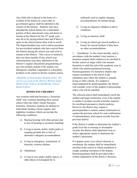Any child who is placed in the home of a resident of the district by court order or government agency shall be admitted to the schools of the District. Students who have attended the school district for a substantial portion of their educational years and desire to remain in the District for the  $12<sup>th</sup>$  grade year, may do so by paying tuition rates and if there is space in the school/classes they wish to enroll. The Superintendent may waive tuition payments for non-resident students who have moved from the District during the school year and wish to remain in the District. This waiver is limited to their last three months of any school year. Administration may deny admission to the District's regular educational programming of any non-resident student if the student was delinquent, expelled, suspended or a discipline problem in the school in his/her resident school.

*Eligibility of Nonresident Students policy 202 can be accessed on the District Website under District link, Policies & Handbooks, School Board Polices.*

#### **HOMELESS CHILDREN**

Any resident child that becomes a "homeless child" may continue attending their current school when the child's family becomes homeless. Homeless students are defined as individuals lacking a fixed, regular, and nighttime residence which can include the following conditions:

- a) Sharing housing with other persons due to loss of housing or economic hardship
- b) Living in motels, hotels, trailer parks or camping grounds due to lack of alternative adequate accommodation
- c) Living in emergency, transitional, or domestic violence shelters
- d) Abandoned
- e) Living in cars, parks, public spaces, or other places not designed for or

ordinarily used as regular sleeping accommodations for human beings

- f) Living as migratory children in above conditions
- g) Living as runaway child
- h) Living as school age unwed mothers in homes for unwed mothers if they have no other accommodations

1. Enrollment: To the extent feasible, and in accordance with the student's best interest, a homeless student shall continue to be enrolled in his/her school of origin while s/he remains homeless or until the end of the academic year in which s/he obtains permanent housing. Parents/guardians of a homeless student may request enrollment in the school in the attendance area where the student is actually living or other schools. If a student is unaccompanied by parent/guardian, the district will consider views of the student in determining where s/he will be enrolled.

The selected school shall immediately enroll the student and begin instruction, even if the student is unable to produce records normally required for enrollment pursuant to district policies. However, the district may require a parent/guardian to submit contact information to contact the previous school for oral confirmation of immunizations, and request records from the previous district.

If the district is unable to determine the student's grade level due to missing or incomplete records, the district shall administer tests or utilize appropriate means to determine the student's placement.

If a dispute arises over school selection or enrollment, the student shall be immediately enrolled in the school in which enrollment is sought, pending resolution of the dispute. Parents/guardians shall be provided with a written explanation of the district's decision,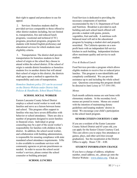their right to appeal and procedures to use for appeal.

2. Services: Homeless students shall be provided services comparable to those offered to other district students including, but not limited to, transportation, free and reduced lunch programs, vocational and technical (CTC) programs, preschool programs, programs for students with limited English proficiency and educational services for which students meet eligibility criteria.

3. Transportation: The district shall provide transportation for homeless students to their school of origin or the school they choose to attend within the school district. If the school of origin is outside district boundaries or homeless students live in another district but will attend their school of origin in this district, the districts shall agree upon a method to apportion the responsibility and costs of transportation.

*Homeless Students policy 251 can be accessed on the District Website under District link, Policies & Handbooks, School Board Polices.*

# **SCHOOL SOCIAL WORKER**

Eastern Lancaster County School District employs a school social worker to work with families and serve as a liaison between home and school. This program offers support to families who may have severe difficulties with behavior or school attendance. There are also a number of programs designed to assist families in financial crises. Individual or group counseling may be a part of the social worker's responsibility for families with children in the district. In addition, the school social worker, and collaboration with building administration, is responsible for ensuring compliance with state mandated school attendance requirements. S/He is also available to coordinate services with community agencies or private practitioners as needed. In order to access the school social worker's services, please contact the school counselor or building principal.

Food Services is dedicated to providing the necessary components of nutrition recommended by the U.S. Department of Food and Nutrition. Breakfast is provided in each building and each school lunch offered will provide a student with grains, protein, vegetables, fruit and milk. A nutritious wellbalanced meal will aid in the educational program by keeping a student alert and properly nourished. The Cafeteria operates on a nonprofit basis with an independent full-service kitchen in each building. Independent kitchens allow maximum quality and service to each student.

# *Free & Reduced Lunch*

Food Services provides a program which allows eligible students to receive free or reduced price lunches. This program is non-identifiable and completely confidential. We can provide assistance up to and including the whole school year. Questions concerning this program should be directed to Jami Leisey at 717-354-1581.

#### *Menus*

Each month cafeteria menus are sent home with elementary students. At the secondary level, menus are posted in rooms. Menus are created with the intention of maintaining dietary guidelines and keeping students' desires in mind. We encourage your child's participation in the school lunch program.

# **SENIOR CITIZEN COURTESY CARD**

If you are a resident of the Easter Lancaster County School District and 65 years old, you can apply for the Senior Citizen Courtesy Card. This care allows you to enjoy free attendance at games, plays, and other activities (except graduation). See the receptionist at the District Office to apply. Hours  $7:30 - 4:00$ .

#### **STUDENT INFORMATION CHANGE**

If you have a change of address, telephone number, email address, etc., please go onto the District Website – [www.elanco.org.](http://www.elanco.org/) Click on

#### **SCHOOL LUNCHES**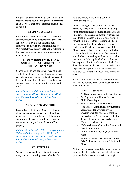Programs and then click on Student Information Update. Using your district provided username and password, change the information and click on submit.

# **STUDENT SURVEYS**

Eastern Lancaster County School District will administer surveys to students throughout the school year. Surveys that students may participate in include, but are not limited to: Olweus Bullying Survey, Safe and Civil Schools Survey, Technology Surveys, and educational input surveys.

# **USE OF SCHOOL FACILITIES & EQUIPMENT/INCLUDING WEIGHT ROOM AND GYM AREAS**

School facilities and equipment may be made available to students beyond the regular school day when properly supervised and chaperoned by a faculty member. Requests must be made and approved by a member of the administrative staff.

*Use of School Facilities policy 707 can be accessed on the District Website under District link, Policies & Handbooks, School Board Polices.*

# **USE OF VIDEO MONITORS**

Eastern Lancaster County School District may place and use video cameras and other devices in its school buses, public areas of its buildings and on school grounds in order to ensure the safety and security of its students, staff, and property.

*Building Security policy 709 & Transportation – Video/Audio Recording policy 810.2 can be accessed on the District Website under District link, Policies & Handbooks, School Board Polices.*

#### **VOLUNTEERS**

We are fortunate and appreciative to have so many volunteers serving in our schools. Our volunteers truly make our educational community special.

Due to new regulations (Act 153 of 2014) passed by the General Assembly in an attempt to better protect children from sexual predators and child abuse, all volunteers must now obtain the same three clearances as professional staff; FBI Federal Criminal History Background Check and Fingerprinting, Pennsylvania Criminal Background Check, and Pennsylvania Child Abuse History Check. In short, any adult who visits a school to assist with any function of the school related to working with students or who chaperones a field trip in which the volunteer has responsibility for students must obtain the three clearances in advance of participation. For a specific description of who constitutes as a volunteer, see Board of School Directors Policy #916.

In order to volunteer in the District, volunteers will need to complete the following and submit to District Office:

- Volunteer Application
- PA State Police Criminal History Report
- PA Department of Human Services Child Abuse Report.
- Federal Criminal History Report
- (The Federal Criminal History Report is not required for a volunteer who provides a written statement that he or she has been a Pennsylvania resident for the past 10 years consecutively. See Waiver Form below.)
- PDE-6004 Arrest/Conviction Report and Certification Form
- Volunteer Self-Reporting Commitment Form
- Volunteer Acknowledgement of Policy #916/Volunteers and Policy #806/Child Abuse

All the above clearances and documents must be completed, submitted to the District Office, and approved before volunteer service can begin.